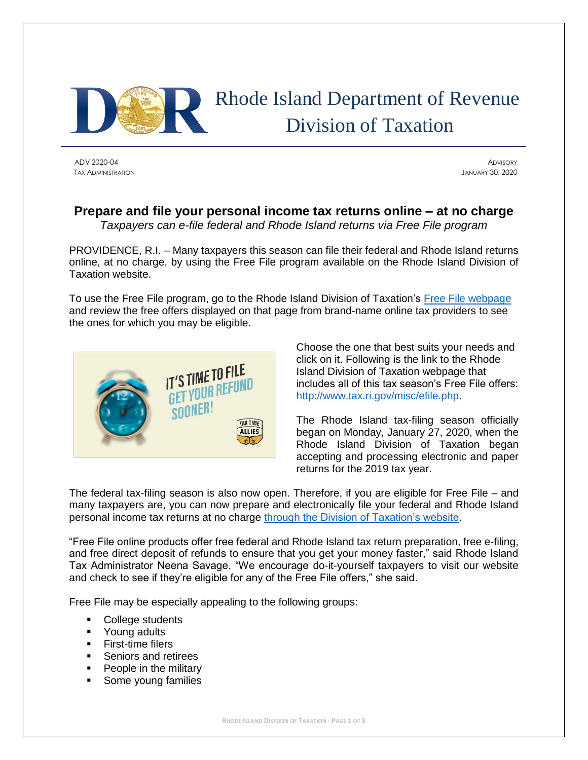

# Rhode Island Department of Revenue Division of Taxation

ADV 2020-04 ADVISORY TAX ADMINISTRATION JANUARY 30, 2020

## **Prepare and file your personal income tax returns online – at no charge** *Taxpayers can e-file federal and Rhode Island returns via Free File program*

PROVIDENCE, R.I. – Many taxpayers this season can file their federal and Rhode Island returns online, at no charge, by using the Free File program available on the Rhode Island Division of Taxation website.

To use the Free File program, go to the Rhode Island Division of Taxation's [Free File](http://www.tax.ri.gov/misc/efile.php) webpage and review the free offers displayed on that page from brand-name online tax providers to see the ones for which you may be eligible.



Choose the one that best suits your needs and click on it. Following is the link to the Rhode Island Division of Taxation webpage that includes all of this tax season's Free File offers: [http://www.tax.ri.gov/misc/efile.php.](http://www.tax.ri.gov/misc/efile.php)

The Rhode Island tax-filing season officially began on Monday, January 27, 2020, when the Rhode Island Division of Taxation began accepting and processing electronic and paper returns for the 2019 tax year.

The federal tax-filing season is also now open. Therefore, if you are eligible for Free File – and many taxpayers are, you can now prepare and electronically file your federal and Rhode Island personal income tax returns at no charge [through the Division of Taxation's website.](http://www.tax.ri.gov/misc/efile.php)

"Free File online products offer free federal and Rhode Island tax return preparation, free e-filing, and free direct deposit of refunds to ensure that you get your money faster," said Rhode Island Tax Administrator Neena Savage. "We encourage do-it-yourself taxpayers to visit our website and check to see if they're eligible for any of the Free File offers," she said.

Free File may be especially appealing to the following groups:

- College students
- Young adults
- **First-time filers**
- Seniors and retirees
- People in the military
- Some young families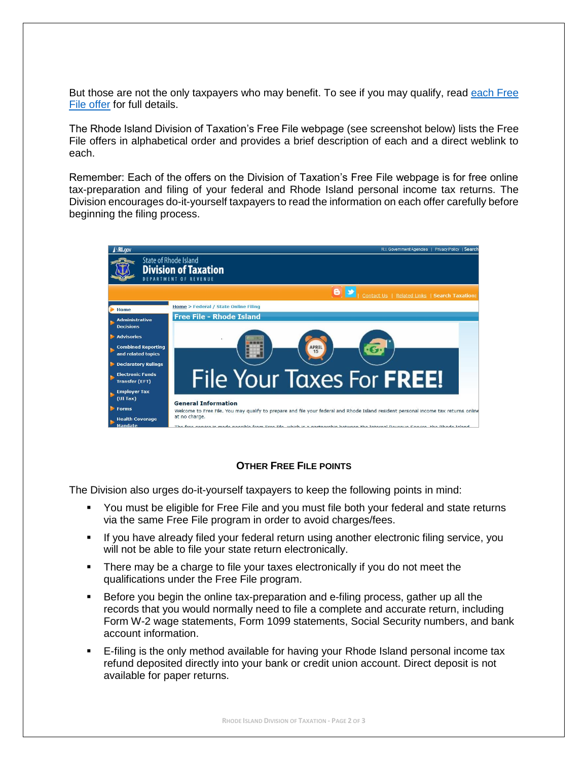But those are not the only taxpayers who may benefit. To see if you may qualify, read [each Free](http://www.tax.ri.gov/misc/efile.php)  [File offer](http://www.tax.ri.gov/misc/efile.php) for full details.

The Rhode Island Division of Taxation's Free File webpage (see screenshot below) lists the Free File offers in alphabetical order and provides a brief description of each and a direct weblink to each.

Remember: Each of the offers on the Division of Taxation's Free File webpage is for free online tax-preparation and filing of your federal and Rhode Island personal income tax returns. The Division encourages do-it-yourself taxpayers to read the information on each offer carefully before beginning the filing process.



### **OTHER FREE FILE POINTS**

The Division also urges do-it-yourself taxpayers to keep the following points in mind:

- You must be eligible for Free File and you must file both your federal and state returns via the same Free File program in order to avoid charges/fees.
- **EXT** If you have already filed your federal return using another electronic filing service, you will not be able to file your state return electronically.
- **•** There may be a charge to file your taxes electronically if you do not meet the qualifications under the Free File program.
- **EX** Before you begin the online tax-preparation and e-filing process, gather up all the records that you would normally need to file a complete and accurate return, including Form W-2 wage statements, Form 1099 statements, Social Security numbers, and bank account information.
- E-filing is the only method available for having your Rhode Island personal income tax refund deposited directly into your bank or credit union account. Direct deposit is not available for paper returns.